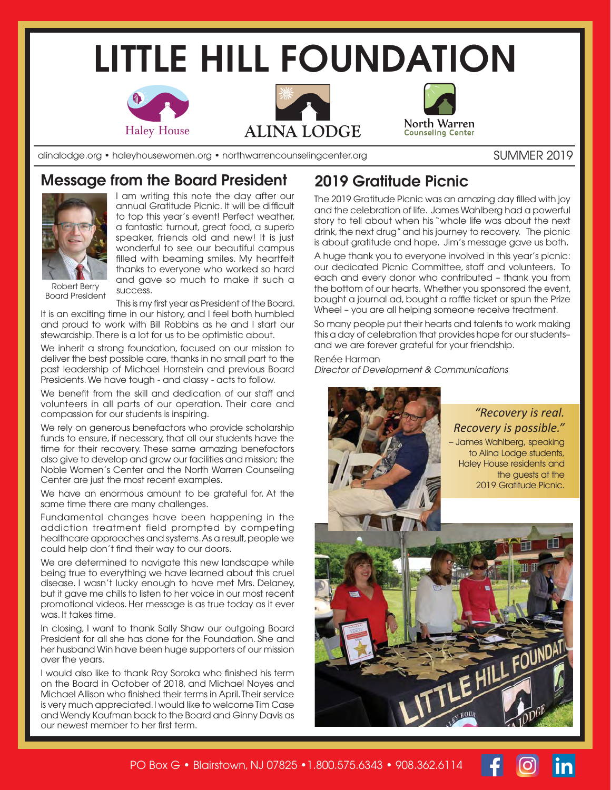# **LITTLE HILL FOUNDATION**







alinalodge.org • haleyhousewomen.org • northwarrencounselingcenter.org

#### SUMMER 2019

### **Message from the Board President**



I am writing this note the day after our annual Gratitude Picnic. It will be difficult to top this year's event! Perfect weather, a fantastic turnout, great food, a superb speaker, friends old and new! It is just wonderful to see our beautiful campus filled with beaming smiles. My heartfelt thanks to everyone who worked so hard and gave so much to make it such a success.

Robert Berry Board President

This is my first year as President of the Board. It is an exciting time in our history, and I feel both humbled and proud to work with Bill Robbins as he and I start our stewardship. There is a lot for us to be optimistic about.

We inherit a strong foundation, focused on our mission to deliver the best possible care, thanks in no small part to the past leadership of Michael Hornstein and previous Board Presidents. We have tough - and classy - acts to follow.

We benefit from the skill and dedication of our staff and volunteers in all parts of our operation. Their care and compassion for our students is inspiring.

We rely on generous benefactors who provide scholarship funds to ensure, if necessary, that all our students have the time for their recovery. These same amazing benefactors also give to develop and grow our facilities and mission; the Noble Women's Center and the North Warren Counseling Center are just the most recent examples.

We have an enormous amount to be grateful for. At the same time there are many challenges.

Fundamental changes have been happening in the addiction treatment field prompted by competing healthcare approaches and systems. As a result, people we could help don't find their way to our doors.

We are determined to navigate this new landscape while being true to everything we have learned about this cruel disease. I wasn't lucky enough to have met Mrs. Delaney, but it gave me chills to listen to her voice in our most recent promotional videos. Her message is as true today as it ever was. It takes time.

In closing, I want to thank Sally Shaw our outgoing Board President for all she has done for the Foundation. She and her husband Win have been huge supporters of our mission over the years.

I would also like to thank Ray Soroka who finished his term on the Board in October of 2018, and Michael Noyes and Michael Allison who finished their terms in April. Their service is very much appreciated. I would like to welcome Tim Case and Wendy Kaufman back to the Board and Ginny Davis as our newest member to her first term.

## **2019 Gratitude Picnic**

The 2019 Gratitude Picnic was an amazing day filled with joy and the celebration of life. James Wahlberg had a powerful story to tell about when his "whole life was about the next drink, the next drug" and his journey to recovery. The picnic is about gratitude and hope. Jim's message gave us both.

A huge thank you to everyone involved in this year's picnic: our dedicated Picnic Committee, staff and volunteers. To each and every donor who contributed – thank you from the bottom of our hearts. Whether you sponsored the event, bought a journal ad, bought a raffle ticket or spun the Prize Wheel – you are all helping someone receive treatment.

So many people put their hearts and talents to work making this a day of celebration that provides hope for our students– and we are forever grateful for your friendship.

Renée Harman

*Director of Development & Communications*



PO Box G • Blairstown, NJ 07825 •1.800.575.6343 • 908.362.6114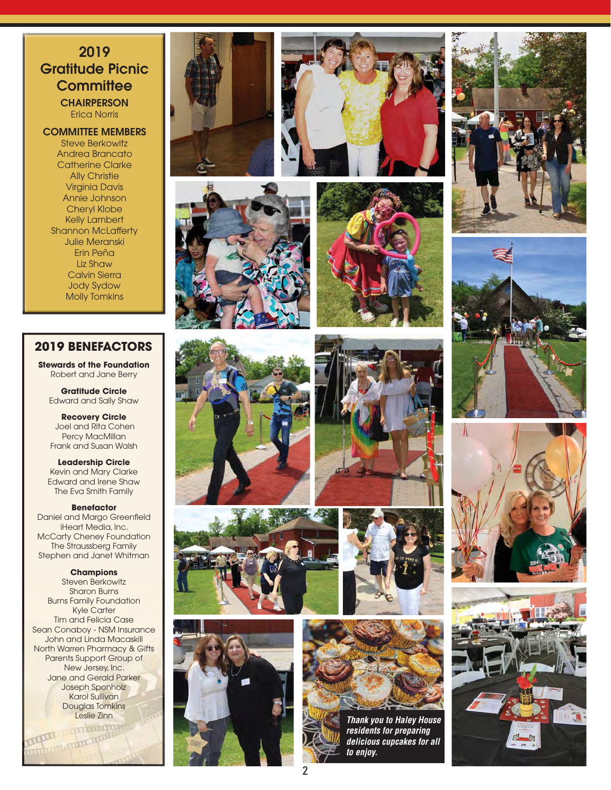### **2019 Gratitude Picnic Committee CHAIRPERSON**

Erica Norris

**COMMITTEE MEMBERS** Steve Berkowitz

Andrea Brancato Catherine Clarke Ally Christie Virginia Davis Annie Johnson Cheryl Klobe Kelly Lambert Shannon McLafferty Julie Meranski Erin Peña Liz Shaw Calvin Sierra Jody Sydow Molly Tomkins

#### **2019 BENEFACTORS**

**Stewards of the Foundation** Robert and Jane Berry

**Gratitude Circle** Edward and Sally Shaw

**Recovery Circle** Joel and Rita Cohen Percy MacMillan Frank and Susan Walsh

**Leadership Circle** Kevin and Mary Clarke Edward and Irene Shaw The Eva Smith Family

**Benefactor** Daniel and Margo Greenfield iHeart Media, Inc. McCarty Cheney Foundation The Straussberg Family Stephen and Janet Whitman

#### **Champions**

Steven Berkowitz Sharon Burns Burns Family Foundation Kyle Carter Tim and Felicia Case Sean Conaboy - NSM Insurance John and Linda Macaskill North Warren Pharmacy & Gifts Parents Support Group of New Jersey, Inc. Jane and Gerald Parker Joseph Sponholz Karol Sullivan Douglas Tomkins Leslie Zinn<br>Experience of the City of Section 1999<br>The City of Section 1999<br>
The City of Section 1999<br>
The City of Section 1999<br>
The City of Section 1999<br>
The City of Section 1999<br>
The City of Section 1999<br>
The City of Sec

Formation of the

















*Thank you to Haley House residents for preparing delicious cupcakes for all to enjoy.*







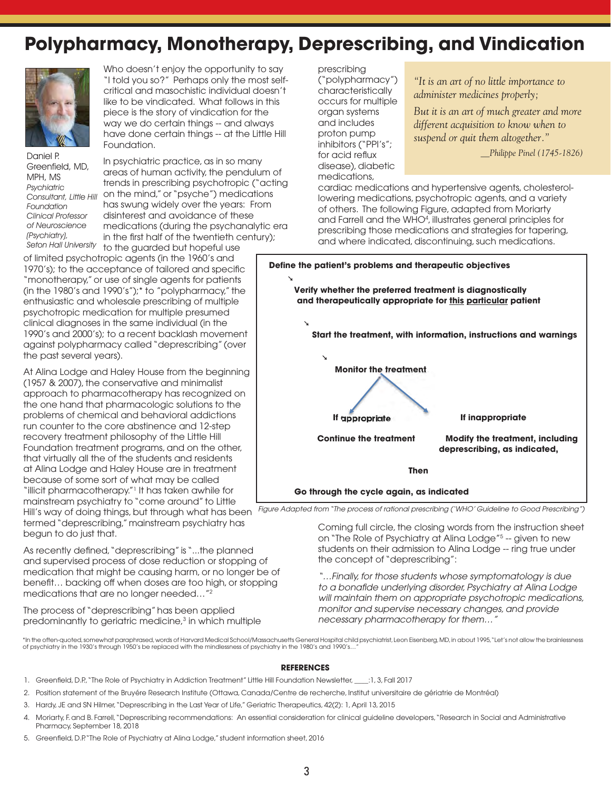## **Polypharmacy, Monotherapy, Deprescribing, and Vindication**



Who doesn't enjoy the opportunity to say "I told you so?" Perhaps only the most selfcritical and masochistic individual doesn't like to be vindicated. What follows in this piece is the story of vindication for the way we do certain things -- and always have done certain things -- at the Little Hill Foundation.

Daniel P. Greenfield, MD, MPH, MS *Psychiatric Consultant, Little Hill Foundation Clinical Professor of Neuroscience (Psychiatry),*

In psychiatric practice, as in so many areas of human activity, the pendulum of trends in prescribing psychotropic ("acting on the mind," or "psyche") medications has swung widely over the years: From disinterest and avoidance of these medications (during the psychanalytic era in the first half of the twentieth century);

*Seton Hall University* to the guarded but hopeful use of limited psychotropic agents (in the 1960's and 1970's); to the acceptance of tailored and specific "monotherapy," or use of single agents for patients (in the 1980's and 1990's");\* to "polypharmacy," the enthusiastic and wholesale prescribing of multiple psychotropic medication for multiple presumed clinical diagnoses in the same individual (in the 1990's and 2000's); to a recent backlash movement against polypharmacy called "deprescribing" (over the past several years).

At Alina Lodge and Haley House from the beginning (1957 & 2007), the conservative and minimalist approach to pharmacotherapy has recognized on the one hand that pharmacologic solutions to the problems of chemical and behavioral addictions run counter to the core abstinence and 12-step recovery treatment philosophy of the Little Hill Foundation treatment programs, and on the other, that virtually all the of the students and residents at Alina Lodge and Haley House are in treatment because of some sort of what may be called "illicit pharmacotherapy."1 It has taken awhile for mainstream psychiatry to "come around" to Little

termed "deprescribing," mainstream psychiatry has begun to do just that.

As recently defined, "deprescribing" is "...the planned and supervised process of dose reduction or stopping of medication that might be causing harm, or no longer be of benefit... backing off when doses are too high, or stopping medications that are no longer needed…"2

The process of "deprescribing" has been applied predominantly to geriatric medicine,<sup>3</sup> in which multiple prescribing ("polypharmacy") characteristically occurs for multiple organ systems and includes proton pump inhibitors ("PPI's"; for acid reflux disease), diabetic medications,

*"It is an art of no little importance to administer medicines properly;*

*But it is an art of much greater and more different acquisition to know when to suspend or quit them altogether."*

*\_\_Philippe Pinel (1745-1826)*

cardiac medications and hypertensive agents, cholesterollowering medications, psychotropic agents, and a variety of others. The following Figure, adapted from Moriarty and Farrell and the WHO4 , illustrates general principles for prescribing those medications and strategies for tapering, and where indicated, discontinuing, such medications.



Hill's way of doing things, but through what has been  *Figure Adapted from "The process of rational prescribing ('WHO' Guideline to Good Prescribing")*

Coming full circle, the closing words from the instruction sheet on "The Role of Psychiatry at Alina Lodge"<sup>5</sup> -- given to new students on their admission to Alina Lodge -- ring true under the concept of "deprescribing":

*"…Finally, for those students whose symptomatology is due*  to a bonafide underlying disorder, Psychiatry at Alina Lodge *will maintain them on appropriate psychotropic medications, monitor and supervise necessary changes, and provide necessary pharmacotherapy for them…"*

\*In the often-quoted, somewhat paraphrased, words of Harvard Medical School/Massachusetts General Hospital child psychiatrist, Leon Eisenberg, MD, in about 1995, "Let's not allow the brainlessness of psychiatry in the 1930's through 1950's be replaced with the mindlessness of psychiatry in the 1980's and 1990's…"

#### **REFERENCES**

- 1. Greenfield, D.P., "The Role of Psychiatry in Addiction Treatment" Little Hill Foundation Newsletter, \_\_\_: 1, 3, Fall 2017
- 2. Position statement of the Bruyére Research Institute (Ottawa, Canada/Centre de recherche, Institut universitaire de gériatrie de Montréal)
- 3. Hardy, JE and SN Hilmer, "Deprescribing in the Last Year of Life," Geriatric Therapeutics, 42(2): 1, April 13, 2015
- 4. Moriarty, F. and B. Farrell, "Deprescribing recommendations: An essential consideration for clinical guideline developers, "Research in Social and Administrative Pharmacy, September 18, 2018
- 5. Greenfield, D.P. "The Role of Psychiatry at Alina Lodge," student information sheet, 2016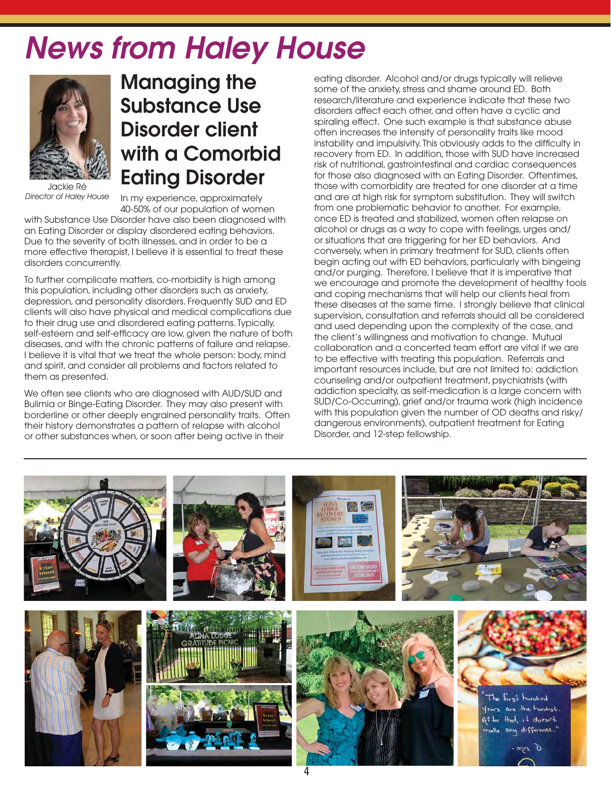# *News from Haley House*



Jackie Ré *Director of Haley House*

**Managing the Substance Use Disorder client with a Comorbid Eating Disorder**

In my experience, approximately

40-50% of our population of women with Substance Use Disorder have also been diagnosed with an Eating Disorder or display disordered eating behaviors. Due to the severity of both illnesses, and in order to be a more effective therapist, I believe it is essential to treat these disorders concurrently.

To further complicate matters, co-morbidity is high among this population, including other disorders such as anxiety, depression, and personality disorders. Frequently SUD and ED clients will also have physical and medical complications due to their drug use and disordered eating patterns. Typically, self-esteem and self-efficacy are low, given the nature of both diseases, and with the chronic patterns of failure and relapse. I believe it is vital that we treat the whole person: body, mind and spirit, and consider all problems and factors related to them as presented.

We often see clients who are diagnosed with AUD/SUD and Bulimia or Binge-Eating Disorder. They may also present with borderline or other deeply engrained personality traits. Often their history demonstrates a pattern of relapse with alcohol or other substances when, or soon after being active in their

eating disorder. Alcohol and/or drugs typically will relieve some of the anxiety, stress and shame around ED. Both research/literature and experience indicate that these two disorders affect each other, and often have a cyclic and spiraling effect. One such example is that substance abuse often increases the intensity of personality traits like mood instability and impulsivity. This obviously adds to the difficulty in recovery from ED. In addition, those with SUD have increased risk of nutritional, gastrointestinal and cardiac consequences for those also diagnosed with an Eating Disorder. Oftentimes, those with comorbidity are treated for one disorder at a time and are at high risk for symptom substitution. They will switch from one problematic behavior to another. For example, once ED is treated and stabilized, women often relapse on alcohol or drugs as a way to cope with feelings, urges and/ or situations that are triggering for her ED behaviors. And conversely, when in primary treatment for SUD, clients often begin acting out with ED behaviors, particularly with bingeing and/or purging. Therefore, I believe that it is imperative that we encourage and promote the development of healthy tools and coping mechanisms that will help our clients heal from these diseases at the same time. I strongly believe that clinical supervision, consultation and referrals should all be considered and used depending upon the complexity of the case, and the client's willingness and motivation to change. Mutual collaboration and a concerted team effort are vital if we are to be effective with treating this population. Referrals and important resources include, but are not limited to: addiction counseling and/or outpatient treatment, psychiatrists (with addiction specialty, as self-medication is a large concern with SUD/Co-Occurring), grief and/or trauma work (high incidence with this population given the number of OD deaths and risky/ dangerous environments), outpatient treatment for Eating Disorder, and 12-step fellowship.

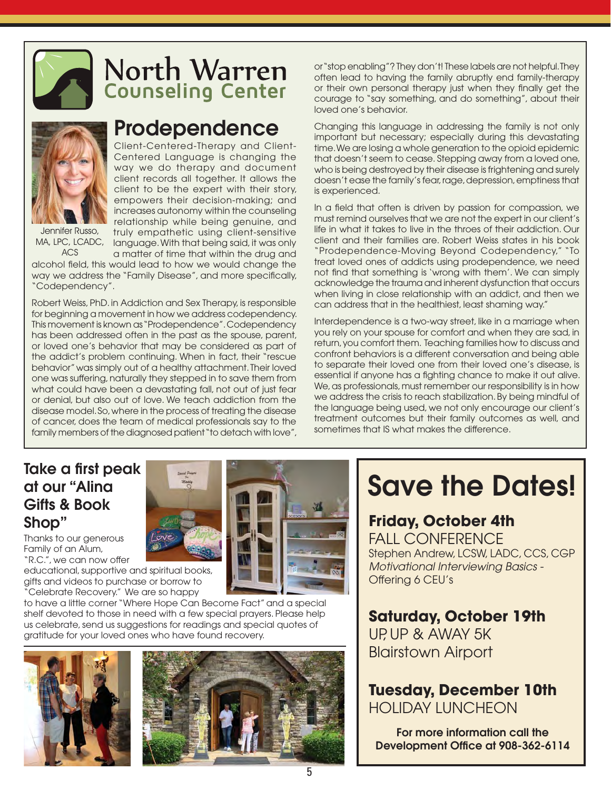

# North Warren **Counseling Center**



MA, LPC, LCADC,

# **Prodependence**

Client-Centered-Therapy and Client-Centered Language is changing the way we do therapy and document client records all together. It allows the client to be the expert with their story, empowers their decision-making; and increases autonomy within the counseling relationship while being genuine, and truly empathetic using client-sensitive language. With that being said, it was only

ACS a matter of time that within the drug and alcohol field, this would lead to how we would change the way we address the "Family Disease", and more specifically, "Codependency".

Robert Weiss, PhD. in Addiction and Sex Therapy, is responsible for beginning a movement in how we address codependency. This movement is known as "Prodependence". Codependency has been addressed often in the past as the spouse, parent, or loved one's behavior that may be considered as part of the addict's problem continuing. When in fact, their "rescue behavior" was simply out of a healthy attachment. Their loved one was suffering, naturally they stepped in to save them from what could have been a devastating fall, not out of just fear or denial, but also out of love. We teach addiction from the disease model. So, where in the process of treating the disease of cancer, does the team of medical professionals say to the family members of the diagnosed patient "to detach with love",

or "stop enabling"? They don't! These labels are not helpful. They often lead to having the family abruptly end family-therapy or their own personal therapy just when they finally get the courage to "say something, and do something", about their loved one's behavior.

Changing this language in addressing the family is not only important but necessary; especially during this devastating time. We are losing a whole generation to the opioid epidemic that doesn't seem to cease. Stepping away from a loved one, who is being destroyed by their disease is frightening and surely doesn't ease the family's fear, rage, depression, emptiness that is experienced.

In a field that often is driven by passion for compassion, we must remind ourselves that we are not the expert in our client's life in what it takes to live in the throes of their addiction. Our client and their families are. Robert Weiss states in his book "Prodependence-Moving Beyond Codependency," "To treat loved ones of addicts using prodependence, we need not find that something is 'wrong with them'. We can simply acknowledge the trauma and inherent dysfunction that occurs when living in close relationship with an addict, and then we can address that in the healthiest, least shaming way."

Interdependence is a two-way street, like in a marriage when you rely on your spouse for comfort and when they are sad, in return, you comfort them. Teaching families how to discuss and confront behaviors is a different conversation and being able to separate their loved one from their loved one's disease, is essential if anyone has a fighting chance to make it out alive. We, as professionals, must remember our responsibility is in how we address the crisis to reach stabilization. By being mindful of the language being used, we not only encourage our client's treatment outcomes but their family outcomes as well, and sometimes that IS what makes the difference.

### **Take a first peak at our "Alina Gifts & Book Shop"**

Thanks to our generous Family of an Alum, "R.C.", we can now offer

educational, supportive and spiritual books, gifts and videos to purchase or borrow to "Celebrate Recovery." We are so happy

to have a little corner "Where Hope Can Become Fact" and a special shelf devoted to those in need with a few special prayers. Please help us celebrate, send us suggestions for readings and special quotes of gratitude for your loved ones who have found recovery.





# **Save the Dates!**

# **Friday, October 4th**

FALL CONFERENCE Stephen Andrew, LCSW, LADC, CCS, CGP *Motivational Interviewing Basics -*  Offering 6 CEU's

**Saturday, October 19th** UP, UP & AWAY 5K

Blairstown Airport **Tuesday, December 10th**

HOLIDAY LUNCHEON

**For more information call the Development Office at 908-362-6114**